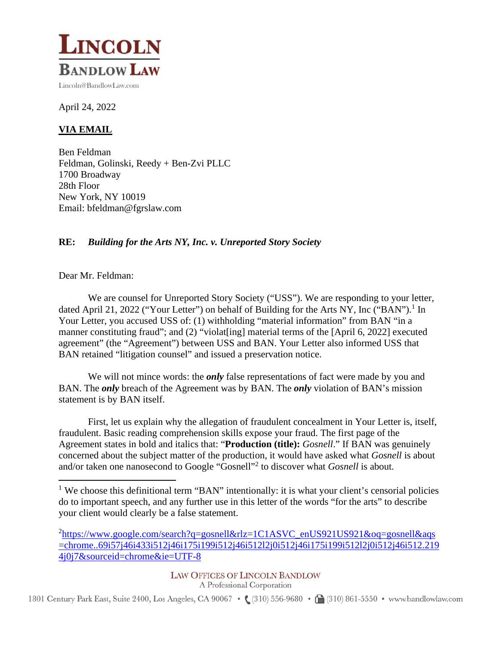

April 24, 2022

## **VIA EMAIL**

Ben Feldman Feldman, Golinski, Reedy + Ben-Zvi PLLC 1700 Broadway 28th Floor New York, NY 10019 Email: bfeldman@fgrslaw.com

## **RE:** *Building for the Arts NY, Inc. v. Unreported Story Society*

Dear Mr. Feldman:

We are counsel for Unreported Story Society ("USS"). We are responding to your letter, dated April 21, 2022 ("Your Letter") on behalf of Building for the Arts NY, Inc ("BAN").<sup>1</sup> In Your Letter, you accused USS of: (1) withholding "material information" from BAN "in a manner constituting fraud"; and (2) "violat [ing] material terms of the [April 6, 2022] executed agreement" (the "Agreement") between USS and BAN. Your Letter also informed USS that BAN retained "litigation counsel" and issued a preservation notice.

We will not mince words: the *only* false representations of fact were made by you and BAN. The *only* breach of the Agreement was by BAN. The *only* violation of BAN's mission statement is by BAN itself.

First, let us explain why the allegation of fraudulent concealment in Your Letter is, itself, fraudulent. Basic reading comprehension skills expose your fraud. The first page of the Agreement states in bold and italics that: "**Production (title):** *Gosnell*." If BAN was genuinely concerned about the subject matter of the production, it would have asked what *Gosnell* is about and/or taken one nanosecond to Google "Gosnell"<sup>2</sup> to discover what *Gosnell* is about.

## LAW OFFICES OF LINCOLN BANDLOW

A Professional Corporation

1801 Century Park East, Suite 2400, Los Angeles, CA 90067 • (310) 556-9680 • (310) 861-5550 • www.bandlowlaw.com

<sup>&</sup>lt;sup>1</sup> We choose this definitional term "BAN" intentionally: it is what your client's censorial policies do to important speech, and any further use in this letter of the words "for the arts" to describe your client would clearly be a false statement.

<sup>&</sup>lt;sup>2</sup>https://www.google.com/search?q=gosnell&rlz=1C1ASVC\_enUS921US921&oq=gosnell&aqs =chrome..69i57j46i433i512j46i175i199i512j46i512l2j0i512j46i175i199i512l2j0i512j46i512.219 4j0j7&sourceid=chrome&ie=UTF-8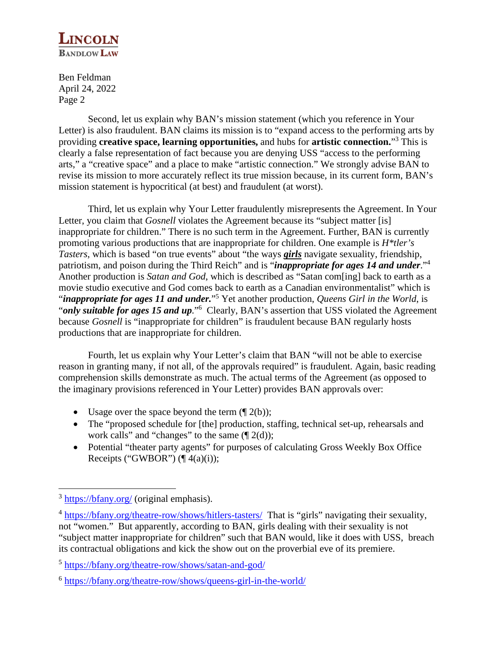

Ben Feldman April 24, 2022 Page 2

Second, let us explain why BAN's mission statement (which you reference in Your Letter) is also fraudulent. BAN claims its mission is to "expand access to the performing arts by providing **creative space, learning opportunities,** and hubs for **artistic connection.**" 3 This is clearly a false representation of fact because you are denying USS "access to the performing arts," a "creative space" and a place to make "artistic connection." We strongly advise BAN to revise its mission to more accurately reflect its true mission because, in its current form, BAN's mission statement is hypocritical (at best) and fraudulent (at worst).

Third, let us explain why Your Letter fraudulently misrepresents the Agreement. In Your Letter, you claim that *Gosnell* violates the Agreement because its "subject matter [is] inappropriate for children." There is no such term in the Agreement. Further, BAN is currently promoting various productions that are inappropriate for children. One example is *H\*tler's Tasters*, which is based "on true events" about "the ways *girls* navigate sexuality, friendship, patriotism, and poison during the Third Reich" and is "*inappropriate for ages 14 and under*."<sup>4</sup> Another production is *Satan and God*, which is described as "Satan com[ing] back to earth as a movie studio executive and God comes back to earth as a Canadian environmentalist" which is "*inappropriate for ages 11 and under*."<sup>5</sup> Yet another production, *Queens Girl in the World*, is "*only suitable for ages 15 and up*."<sup>6</sup> Clearly, BAN's assertion that USS violated the Agreement because *Gosnell* is "inappropriate for children" is fraudulent because BAN regularly hosts productions that are inappropriate for children.

Fourth, let us explain why Your Letter's claim that BAN "will not be able to exercise reason in granting many, if not all, of the approvals required" is fraudulent. Again, basic reading comprehension skills demonstrate as much. The actual terms of the Agreement (as opposed to the imaginary provisions referenced in Your Letter) provides BAN approvals over:

- Usage over the space beyond the term  $(\sqrt{\frac{2(b)}})$ ;
- The "proposed schedule for [the] production, staffing, technical set-up, rehearsals and work calls" and "changes" to the same  $(\P 2(d))$ ;
- Potential "theater party agents" for purposes of calculating Gross Weekly Box Office Receipts ("GWBOR")  $(\P 4(a)(i))$ ;

<sup>&</sup>lt;sup>3</sup> https://bfany.org/ (original emphasis).

<sup>&</sup>lt;sup>4</sup> https://bfany.org/theatre-row/shows/hitlers-tasters/ That is "girls" navigating their sexuality, not "women." But apparently, according to BAN, girls dealing with their sexuality is not "subject matter inappropriate for children" such that BAN would, like it does with USS, breach its contractual obligations and kick the show out on the proverbial eve of its premiere.

<sup>&</sup>lt;sup>5</sup> https://bfany.org/theatre-row/shows/satan-and-god/

<sup>&</sup>lt;sup>6</sup> https://bfany.org/theatre-row/shows/queens-girl-in-the-world/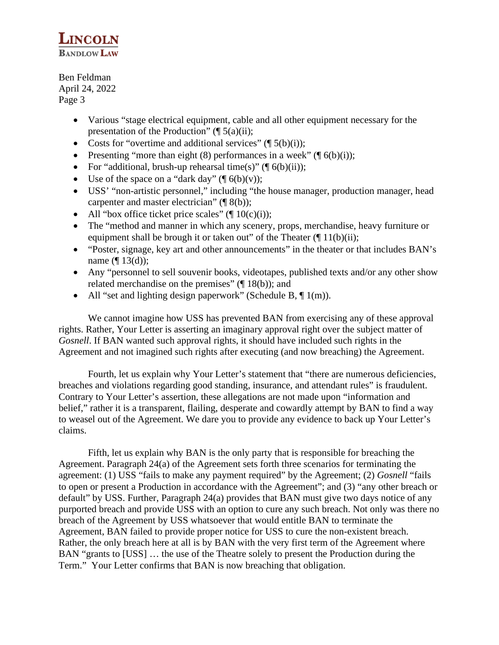

Ben Feldman April 24, 2022 Page 3

- Various "stage electrical equipment, cable and all other equipment necessary for the presentation of the Production"  $(\P 5(a)(ii))$ ;
- Costs for "overtime and additional services" ( $\lceil 5(b)(i))$ ;
- Presenting "more than eight (8) performances in a week" ( $\mathcal{F}(6(b)(i))$ ;
- For "additional, brush-up rehearsal time(s)" ( $\lceil \phi(b)(ii) \rceil$ ;
- Use of the space on a "dark day"  $(\P 6(b)(v))$ ;
- USS' "non-artistic personnel," including "the house manager, production manager, head carpenter and master electrician" (¶ 8(b));
- All "box office ticket price scales" ( $\P$  10(c)(i));
- The "method and manner in which any scenery, props, merchandise, heavy furniture or equipment shall be brough it or taken out" of the Theater  $(\P 11(b)(ii))$ ;
- "Poster, signage, key art and other announcements" in the theater or that includes BAN's name  $(\P 13(d))$ ;
- Any "personnel to sell souvenir books, videotapes, published texts and/or any other show related merchandise on the premises" (¶ 18(b)); and
- All "set and lighting design paperwork" (Schedule B,  $\P$  1(m)).

We cannot imagine how USS has prevented BAN from exercising any of these approval rights. Rather, Your Letter is asserting an imaginary approval right over the subject matter of *Gosnell*. If BAN wanted such approval rights, it should have included such rights in the Agreement and not imagined such rights after executing (and now breaching) the Agreement.

Fourth, let us explain why Your Letter's statement that "there are numerous deficiencies, breaches and violations regarding good standing, insurance, and attendant rules" is fraudulent. Contrary to Your Letter's assertion, these allegations are not made upon "information and belief," rather it is a transparent, flailing, desperate and cowardly attempt by BAN to find a way to weasel out of the Agreement. We dare you to provide any evidence to back up Your Letter's claims.

Fifth, let us explain why BAN is the only party that is responsible for breaching the Agreement. Paragraph 24(a) of the Agreement sets forth three scenarios for terminating the agreement: (1) USS "fails to make any payment required" by the Agreement; (2) *Gosnell* "fails to open or present a Production in accordance with the Agreement"; and (3) "any other breach or default" by USS. Further, Paragraph 24(a) provides that BAN must give two days notice of any purported breach and provide USS with an option to cure any such breach. Not only was there no breach of the Agreement by USS whatsoever that would entitle BAN to terminate the Agreement, BAN failed to provide proper notice for USS to cure the non-existent breach. Rather, the only breach here at all is by BAN with the very first term of the Agreement where BAN "grants to [USS] … the use of the Theatre solely to present the Production during the Term." Your Letter confirms that BAN is now breaching that obligation.